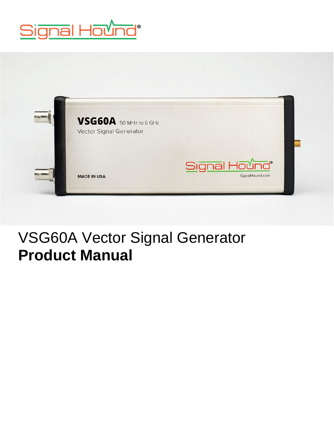



## VSG60A Vector Signal Generator **Product Manual**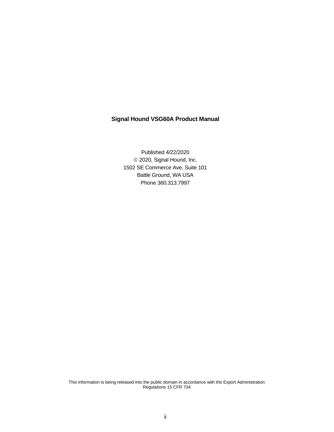#### **Signal Hound VSG60A Product Manual**

Published 4/22/2020 © 2020, Signal Hound, Inc. 1502 SE Commerce Ave, Suite 101 Battle Ground, WA USA Phone 360.313.7997

This information is being released into the public domain in accordance with the Export Administration Regulations 15 CFR 734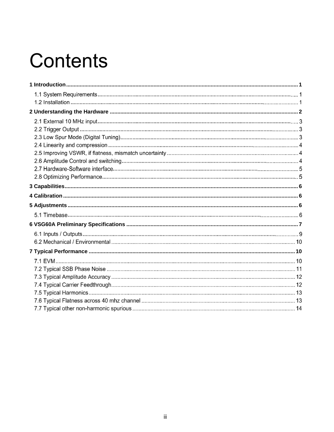# **Contents**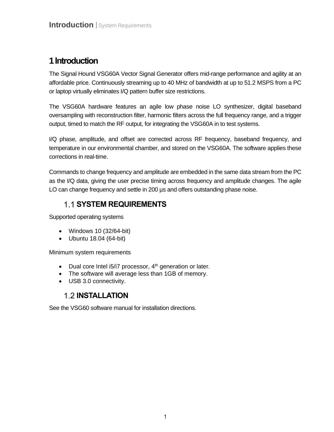## <span id="page-3-0"></span>**1Introduction**

The Signal Hound VSG60A Vector Signal Generator offers mid-range performance and agility at an affordable price. Continuously streaming up to 40 MHz of bandwidth at up to 51.2 MSPS from a PC or laptop virtually eliminates I/Q pattern buffer size restrictions.

The VSG60A hardware features an agile low phase noise LO synthesizer, digital baseband oversampling with reconstruction filter, harmonic filters across the full frequency range, and a trigger output, timed to match the RF output, for integrating the VSG60A in to test systems.

I/Q phase, amplitude, and offset are corrected across RF frequency, baseband frequency, and temperature in our environmental chamber, and stored on the VSG60A. The software applies these corrections in real-time.

Commands to change frequency and amplitude are embedded in the same data stream from the PC as the I/Q data, giving the user precise timing across frequency and amplitude changes. The agile LO can change frequency and settle in 200 µs and offers outstanding phase noise.

### **SYSTEM REQUIREMENTS**

Supported operating systems

- Windows 10 (32/64-bit)
- Ubuntu 18.04 (64-bit)

Minimum system requirements

- Dual core Intel i5/i7 processor,  $4<sup>th</sup>$  generation or later.
- The software will average less than 1GB of memory.
- USB 3.0 connectivity.

### **1.2 INSTALLATION**

See the VSG60 software manual for installation directions.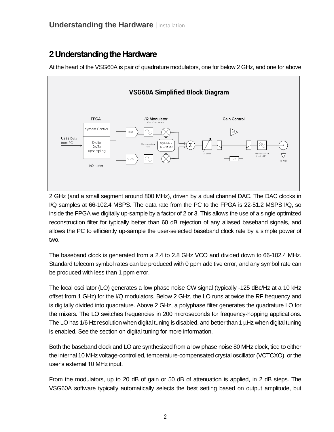## <span id="page-4-0"></span>**2Understanding the Hardware**

At the heart of the VSG60A is pair of quadrature modulators, one for below 2 GHz, and one for above



2 GHz (and a small segment around 800 MHz), driven by a dual channel DAC. The DAC clocks in I/Q samples at 66-102.4 MSPS. The data rate from the PC to the FPGA is 22-51.2 MSPS I/Q, so inside the FPGA we digitally up-sample by a factor of 2 or 3. This allows the use of a single optimized reconstruction filter for typically better than 60 dB rejection of any aliased baseband signals, and allows the PC to efficiently up-sample the user-selected baseband clock rate by a simple power of two.

The baseband clock is generated from a 2.4 to 2.8 GHz VCO and divided down to 66-102.4 MHz. Standard telecom symbol rates can be produced with 0 ppm additive error, and any symbol rate can be produced with less than 1 ppm error.

The local oscillator (LO) generates a low phase noise CW signal (typically -125 dBc/Hz at a 10 kHz offset from 1 GHz) for the I/Q modulators. Below 2 GHz, the LO runs at twice the RF frequency and is digitally divided into quadrature. Above 2 GHz, a polyphase filter generates the quadrature LO for the mixers. The LO switches frequencies in 200 microseconds for frequency-hopping applications. The LO has 1/6 Hz resolution when digital tuning is disabled, and better than 1 µHz when digital tuning is enabled. See the section on digital tuning for more information.

Both the baseband clock and LO are synthesized from a low phase noise 80 MHz clock, tied to either the internal 10 MHz voltage-controlled, temperature-compensated crystal oscillator (VCTCXO), or the user's external 10 MHz input.

From the modulators, up to 20 dB of gain or 50 dB of attenuation is applied, in 2 dB steps. The VSG60A software typically automatically selects the best setting based on output amplitude, but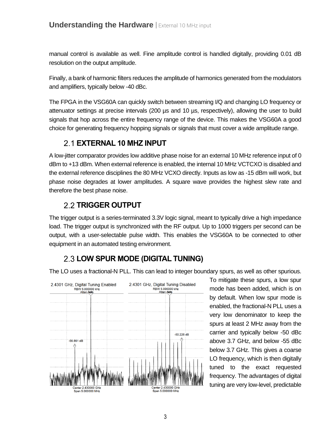manual control is available as well. Fine amplitude control is handled digitally, providing 0.01 dB resolution on the output amplitude.

Finally, a bank of harmonic filters reduces the amplitude of harmonics generated from the modulators and amplifiers, typically below -40 dBc.

The FPGA in the VSG60A can quickly switch between streaming I/Q and changing LO frequency or attenuator settings at precise intervals (200 µs and 10 µs, respectively), allowing the user to build signals that hop across the entire frequency range of the device. This makes the VSG60A a good choice for generating frequency hopping signals or signals that must cover a wide amplitude range.

#### **EXTERNAL 10 MHZ INPUT**

A low-jitter comparator provides low additive phase noise for an external 10 MHz reference input of 0 dBm to +13 dBm. When external reference is enabled, the internal 10 MHz VCTCXO is disabled and the external reference disciplines the 80 MHz VCXO directly. Inputs as low as -15 dBm will work, but phase noise degrades at lower amplitudes. A square wave provides the highest slew rate and therefore the best phase noise.

### **TRIGGER OUTPUT**

The trigger output is a series-terminated 3.3V logic signal, meant to typically drive a high impedance load. The trigger output is synchronized with the RF output. Up to 1000 triggers per second can be output, with a user-selectable pulse width. This enables the VSG60A to be connected to other equipment in an automated testing environment.

## **LOW SPUR MODE (DIGITAL TUNING)**

The LO uses a fractional-N PLL. This can lead to integer boundary spurs, as well as other spurious.



To mitigate these spurs, a low spur mode has been added, which is on by default. When low spur mode is enabled, the fractional-N PLL uses a very low denominator to keep the spurs at least 2 MHz away from the carrier and typically below -50 dBc above 3.7 GHz, and below -55 dBc below 3.7 GHz. This gives a coarse LO frequency, which is then digitally tuned to the exact requested frequency. The advantages of digital tuning are very low-level, predictable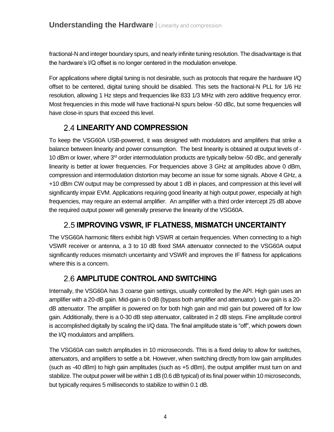fractional-N and integer boundary spurs, and nearly infinite tuning resolution. The disadvantage is that the hardware's I/Q offset is no longer centered in the modulation envelope.

For applications where digital tuning is not desirable, such as protocols that require the hardware I/Q offset to be centered, digital tuning should be disabled. This sets the fractional-N PLL for 1/6 Hz resolution, allowing 1 Hz steps and frequencies like 833 1/3 MHz with zero additive frequency error. Most frequencies in this mode will have fractional-N spurs below -50 dBc, but some frequencies will have close-in spurs that exceed this level.

#### **LINEARITY AND COMPRESSION**

To keep the VSG60A USB-powered, it was designed with modulators and amplifiers that strike a balance between linearity and power consumption. The best linearity is obtained at output levels of - 10 dBm or lower, where 3<sup>rd</sup> order intermodulation products are typically below -50 dBc, and generally linearity is better at lower frequencies. For frequencies above 3 GHz at amplitudes above 0 dBm, compression and intermodulation distortion may become an issue for some signals. Above 4 GHz, a +10 dBm CW output may be compressed by about 1 dB in places, and compression at this level will significantly impair EVM. Applications requiring good linearity at high output power, especially at high frequencies, may require an external amplifier. An amplifier with a third order intercept 25 dB above the required output power will generally preserve the linearity of the VSG60A.

### **IMPROVING VSWR, IF FLATNESS, MISMATCH UNCERTAINTY**

The VSG60A harmonic filters exhibit high VSWR at certain frequencies. When connecting to a high VSWR receiver or antenna, a 3 to 10 dB fixed SMA attenuator connected to the VSG60A output significantly reduces mismatch uncertainty and VSWR and improves the IF flatness for applications where this is a concern.

### **AMPLITUDE CONTROL AND SWITCHING**

Internally, the VSG60A has 3 coarse gain settings, usually controlled by the API. High gain uses an amplifier with a 20-dB gain. Mid-gain is 0 dB (bypass both amplifier and attenuator). Low gain is a 20 dB attenuator. The amplifier is powered on for both high gain and mid gain but powered off for low gain. Additionally, there is a 0-30 dB step attenuator, calibrated in 2 dB steps. Fine amplitude control is accomplished digitally by scaling the I/Q data. The final amplitude state is "off", which powers down the I/Q modulators and amplifiers.

The VSG60A can switch amplitudes in 10 microseconds. This is a fixed delay to allow for switches, attenuators, and amplifiers to settle a bit. However, when switching directly from low gain amplitudes (such as -40 dBm) to high gain amplitudes (such as +5 dBm), the output amplifier must turn on and stabilize. The output power will be within 1 dB (0.6 dB typical) of its final power within 10 microseconds, but typically requires 5 milliseconds to stabilize to within 0.1 dB.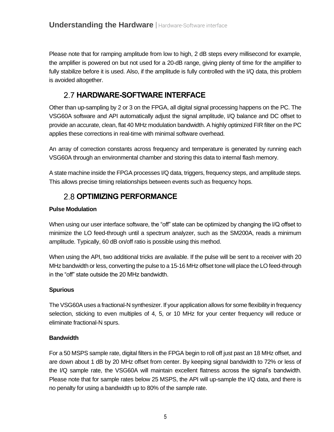Please note that for ramping amplitude from low to high, 2 dB steps every millisecond for example, the amplifier is powered on but not used for a 20-dB range, giving plenty of time for the amplifier to fully stabilize before it is used. Also, if the amplitude is fully controlled with the I/Q data, this problem is avoided altogether.

### **HARDWARE-SOFTWARE INTERFACE**

Other than up-sampling by 2 or 3 on the FPGA, all digital signal processing happens on the PC. The VSG60A software and API automatically adjust the signal amplitude, I/Q balance and DC offset to provide an accurate, clean, flat 40 MHz modulation bandwidth. A highly optimized FIR filter on the PC applies these corrections in real-time with minimal software overhead.

An array of correction constants across frequency and temperature is generated by running each VSG60A through an environmental chamber and storing this data to internal flash memory.

A state machine inside the FPGA processes I/Q data, triggers, frequency steps, and amplitude steps. This allows precise timing relationships between events such as frequency hops.

### **2.8 OPTIMIZING PERFORMANCE**

#### **Pulse Modulation**

When using our user interface software, the "off" state can be optimized by changing the I/Q offset to minimize the LO feed-through until a spectrum analyzer, such as the SM200A, reads a minimum amplitude. Typically, 60 dB on/off ratio is possible using this method.

When using the API, two additional tricks are available. If the pulse will be sent to a receiver with 20 MHz bandwidth or less, converting the pulse to a 15-16 MHz offset tone will place the LO feed-through in the "off" state outside the 20 MHz bandwidth.

#### **Spurious**

The VSG60A uses a fractional-N synthesizer. If your application allows for some flexibility in frequency selection, sticking to even multiples of 4, 5, or 10 MHz for your center frequency will reduce or eliminate fractional-N spurs.

#### **Bandwidth**

For a 50 MSPS sample rate, digital filters in the FPGA begin to roll off just past an 18 MHz offset, and are down about 1 dB by 20 MHz offset from center. By keeping signal bandwidth to 72% or less of the I/Q sample rate, the VSG60A will maintain excellent flatness across the signal's bandwidth. Please note that for sample rates below 25 MSPS, the API will up-sample the I/Q data, and there is no penalty for using a bandwidth up to 80% of the sample rate.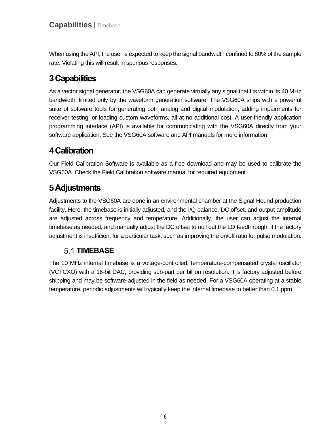When using the API, the user is expected to keep the signal bandwidth confined to 80% of the sample rate. Violating this will result in spurious responses.

## <span id="page-8-0"></span>**3Capabilities**

As a vector signal generator, the VSG60A can generate virtually any signal that fits within its 40 MHz bandwidth, limited only by the waveform generation software. The VSG60A ships with a powerful suite of software tools for generating both analog and digital modulation, adding impairments for receiver testing, or loading custom waveforms, all at no additional cost. A user-friendly application programming interface (API) is available for communicating with the VSG60A directly from your software application. See the VSG60A software and API manuals for more information.

## <span id="page-8-1"></span>**4Calibration**

Our Field Calibration Software is available as a free download and may be used to calibrate the VSG60A. Check the Field Calibration software manual for required equipment.

## <span id="page-8-2"></span>**5Adjustments**

Adjustments to the VSG60A are done in an environmental chamber at the Signal Hound production facility. Here, the timebase is initially adjusted, and the I/Q balance, DC offset, and output amplitude are adjusted across frequency and temperature. Additionally, the user can adjust the internal timebase as needed, and manually adjust the DC offset to null out the LO feedthrough, if the factory adjustment is insufficient for a particular task, such as improving the on/off ratio for pulse modulation.

### **5.1 TIMEBASE**

The 10 MHz internal timebase is a voltage-controlled, temperature-compensated crystal oscillator (VCTCXO) with a 16-bit DAC, providing sub-part per billion resolution. It is factory adjusted before shipping and may be software-adjusted in the field as needed. For a VSG60A operating at a stable temperature, periodic adjustments will typically keep the internal timebase to better than 0.1 ppm.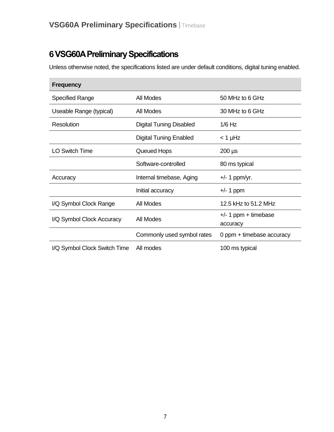## <span id="page-9-0"></span>**6VSG60A Preliminary Specifications**

Unless otherwise noted, the specifications listed are under default conditions, digital tuning enabled.

| <b>Frequency</b>             |                                |                                    |
|------------------------------|--------------------------------|------------------------------------|
| Specified Range              | All Modes                      | 50 MHz to 6 GHz                    |
| Useable Range (typical)      | All Modes                      | 30 MHz to 6 GHz                    |
| Resolution                   | <b>Digital Tuning Disabled</b> | $1/6$ Hz                           |
|                              | <b>Digital Tuning Enabled</b>  | $<$ 1 µHz                          |
| <b>LO Switch Time</b>        | Queued Hops                    | $200 \mu s$                        |
|                              | Software-controlled            | 80 ms typical                      |
| Accuracy                     | Internal timebase, Aging       | $+/- 1$ ppm/yr.                    |
|                              | Initial accuracy               | $+/- 1$ ppm                        |
| I/Q Symbol Clock Range       | All Modes                      | 12.5 kHz to 51.2 MHz               |
| I/Q Symbol Clock Accuracy    | All Modes                      | $+/- 1$ ppm + timebase<br>accuracy |
|                              | Commonly used symbol rates     | 0 ppm + timebase accuracy          |
| I/Q Symbol Clock Switch Time | All modes                      | 100 ms typical                     |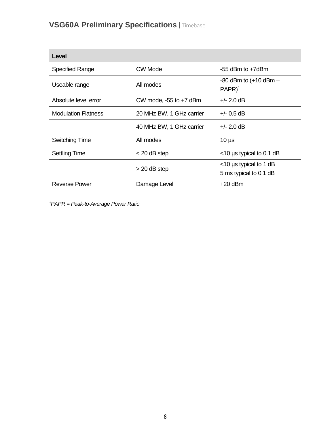## **VSG60A Preliminary Specifications** | Timebase

| Level                      |                            |                                                     |
|----------------------------|----------------------------|-----------------------------------------------------|
| <b>Specified Range</b>     | CW Mode                    | $-55$ dBm to $+7$ dBm                               |
| Useable range              | All modes                  | $-80$ dBm to $(+10$ dBm $-$<br>$PAPR$ <sup>1</sup>  |
| Absolute level error       | CW mode, $-55$ to $+7$ dBm | $+/- 2.0$ dB                                        |
| <b>Modulation Flatness</b> | 20 MHz BW, 1 GHz carrier   | $+/- 0.5$ dB                                        |
|                            | 40 MHz BW, 1 GHz carrier   | $+/- 2.0$ dB                                        |
| <b>Switching Time</b>      | All modes                  | $10 \mu s$                                          |
| <b>Settling Time</b>       | $<$ 20 dB step             | $<$ 10 µs typical to 0.1 dB                         |
|                            | $>$ 20 dB step             | $<$ 10 µs typical to 1 dB<br>5 ms typical to 0.1 dB |
| Reverse Power              | Damage Level               | +20 dBm                                             |

*1PAPR = Peak-to-Average Power Ratio*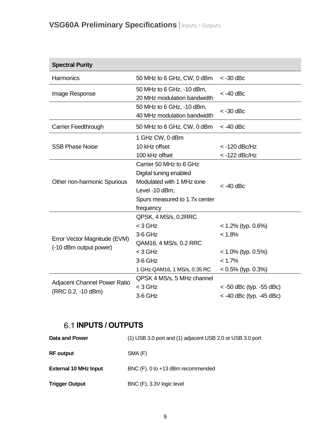## **VSG60A Preliminary Specifications** | Inputs / Outputs

| <b>Spectral Purity</b>                                 |                                                                                                                                                |                                                                                             |
|--------------------------------------------------------|------------------------------------------------------------------------------------------------------------------------------------------------|---------------------------------------------------------------------------------------------|
| Harmonics                                              | 50 MHz to 6 GHz, CW, 0 dBm                                                                                                                     | $<$ -30 dBc                                                                                 |
| Image Response                                         | 50 MHz to 6 GHz, -10 dBm,<br>20 MHz modulation bandwidth                                                                                       | $<$ -40 dBc                                                                                 |
|                                                        | 50 MHz to 6 GHz, -10 dBm,<br>40 MHz modulation bandwidth                                                                                       | $<$ -30 dBc                                                                                 |
| Carrier Feedthrough                                    | 50 MHz to 6 GHz, CW, 0 dBm                                                                                                                     | $<$ -40 dBc                                                                                 |
| <b>SSB Phase Noise</b>                                 | 1 GHz CW, 0 dBm<br>10 kHz offset                                                                                                               | $<$ -120 dBc/Hz                                                                             |
|                                                        | 100 kHz offset                                                                                                                                 | $<$ -122 dBc/Hz                                                                             |
| Other non-harmonic Spurious                            | Carrier 50 MHz to 6 GHz<br>Digital tuning enabled<br>Modulated with 1 MHz tone<br>Level -10 dBm,<br>Spurs measured to 1.7x center<br>frequency | $<$ -40 dBc                                                                                 |
| Error Vector Magnitude (EVM)<br>(-10 dBm output power) | QPSK, 4 MS/s, 0.2RRC<br>$<$ 3 GHz<br>3-6 GHz<br>QAM16, 4 MS/s, 0.2 RRC<br>$<$ 3 GHz<br>3-6 GHz<br>1 GHz QAM16, 1 MS/s, 0.35 RC                 | $< 1.2\%$ (typ. 0.6%)<br>< 1.8%<br>$< 1.0\%$ (typ. 0.5%)<br>< 1.7%<br>$< 0.5\%$ (typ. 0.3%) |
| Adjacent Channel Power Ratio<br>(RRC 0.2, -10 dBm)     | QPSK 4 MS/s, 5 MHz channel<br>$<$ 3 GHz<br>3-6 GHz                                                                                             | $<$ -50 dBc (typ. -55 dBc)<br>$<$ -40 dBc (typ. -45 dBc)                                    |

## **INPUTS / OUTPUTS**

| Data and Power               | (1) USB 3.0 port and (1) adjacent USB 2.0 or USB 3.0 port |
|------------------------------|-----------------------------------------------------------|
| <b>RF</b> output             | SMA (F)                                                   |
| <b>External 10 MHz Input</b> | BNC (F), 0 to +13 dBm recommended                         |
| <b>Trigger Output</b>        | BNC (F), 3.3V logic level                                 |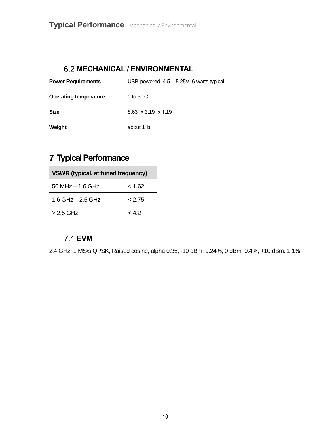#### **MECHANICAL / ENVIRONMENTAL**

| <b>Power Requirements</b>    | USB-powered, 4.5 - 5.25V, 6 watts typical. |
|------------------------------|--------------------------------------------|
| <b>Operating temperature</b> | 0 to $50C$                                 |
| <b>Size</b>                  | $8.63$ " x $3.19$ " x $1.19$ "             |
| Weight                       | about 1 lb.                                |

## <span id="page-12-0"></span>**7 Typical Performance**

| <b>VSWR (typical, at tuned frequency)</b> |          |
|-------------------------------------------|----------|
| $50$ MHz $-$ 1.6 GHz                      | $<$ 1.62 |
| 1.6 GHz $-$ 2.5 GHz                       | & 2.75   |
| > 2.5 GHz                                 | $<$ 4.2  |

#### **EVM**

2.4 GHz, 1 MS/s QPSK, Raised cosine, alpha 0.35, -10 dBm: 0.24%; 0 dBm: 0.4%; +10 dBm: 1.1%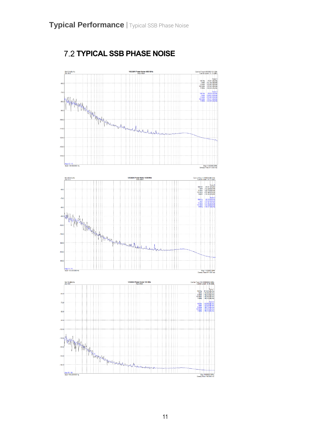

**TYPICAL SSB PHASE NOISE**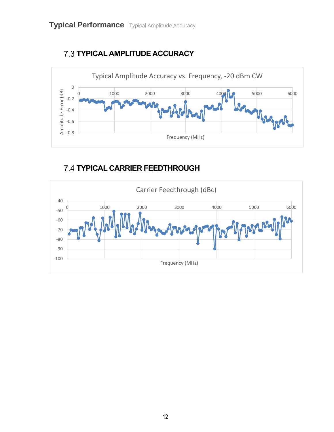



## **7.4 TYPICAL CARRIER FEEDTHROUGH**

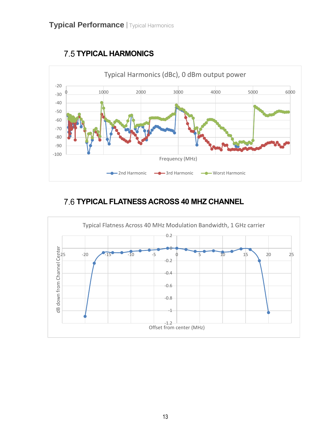

## **7.5 TYPICAL HARMONICS**

## **TYPICAL FLATNESS ACROSS 40 MHZ CHANNEL**